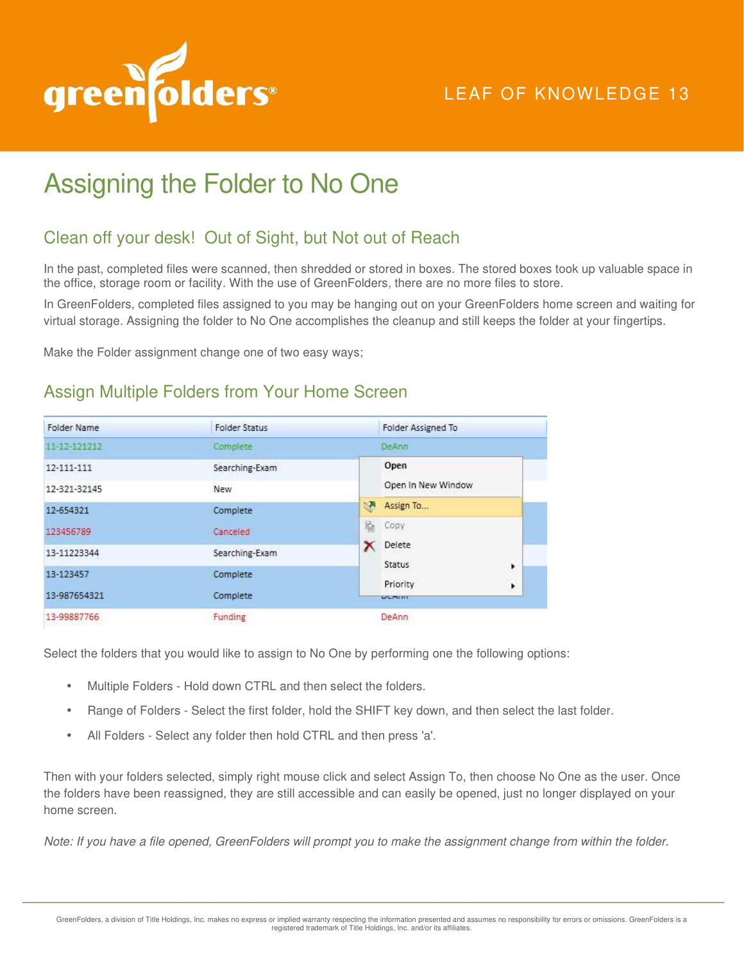

# LEAF OF KNOWLEDGE 13

# Assigning the Folder to No One

## Clean off your desk! Out of Sight, but Not out of Reach

In the past, completed files were scanned, then shredded or stored in boxes. The stored boxes took up valuable space in the office, storage room or facility. With the use of GreenFolders, there are no more files to store.

In GreenFolders, completed files assigned to you may be hanging out on your GreenFolders home screen and waiting for virtual storage. Assigning the folder to No One accomplishes the cleanup and still keeps the folder at your fingertips.

Make the Folder assignment change one of two easy ways;

#### Assign Multiple Folders from Your Home Screen

| Folder Name  | <b>Folder Status</b> | Folder Assigned To               |
|--------------|----------------------|----------------------------------|
| 11-12-121212 | Complete             | <b>DeAnn</b>                     |
| 12-111-111   | Searching-Exam       | Open                             |
| 12-321-32145 | <b>New</b>           | Open In New Window               |
| 12-654321    | Complete             | N,<br>Assign To                  |
| 123456789    | Canceled             | 昏<br>Copy                        |
| 13-11223344  | Searching-Exam       | Delete                           |
| 13-123457    | Complete             | Status<br>١                      |
| 13-987654321 | Complete             | Priority<br>۲<br><b>CICERRIT</b> |
| 13-99887766  | Funding              | DeAnn                            |

Select the folders that you would like to assign to No One by performing one the following options:

- Multiple Folders Hold down CTRL and then select the folders.
- Range of Folders Select the first folder, hold the SHIFT key down, and then select the last folder.
- All Folders Select any folder then hold CTRL and then press 'a'.

Then with your folders selected, simply right mouse click and select Assign To, then choose No One as the user. Once the folders have been reassigned, they are still accessible and can easily be opened, just no longer displayed on your home screen.

*Note: If you have a file opened, GreenFolders will prompt you to make the assignment change from within the folder.*